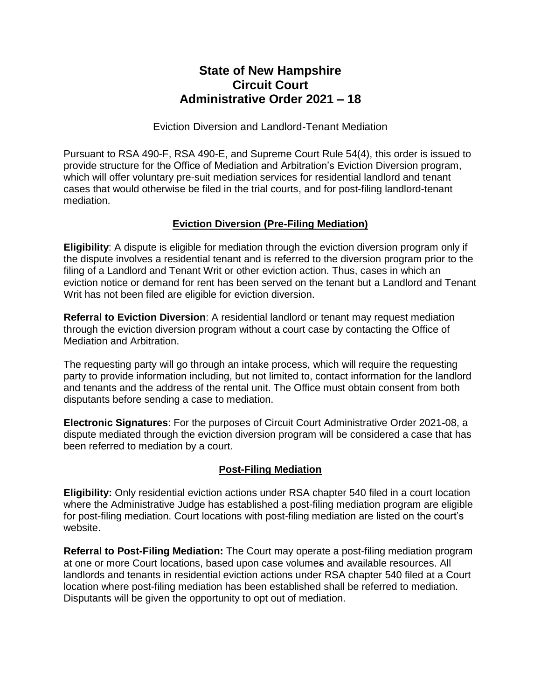## **State of New Hampshire Circuit Court Administrative Order 2021 – 18**

Eviction Diversion and Landlord-Tenant Mediation

Pursuant to RSA 490-F, RSA 490-E, and Supreme Court Rule 54(4), this order is issued to provide structure for the Office of Mediation and Arbitration's Eviction Diversion program, which will offer voluntary pre-suit mediation services for residential landlord and tenant cases that would otherwise be filed in the trial courts, and for post-filing landlord-tenant mediation.

## **Eviction Diversion (Pre-Filing Mediation)**

**Eligibility**: A dispute is eligible for mediation through the eviction diversion program only if the dispute involves a residential tenant and is referred to the diversion program prior to the filing of a Landlord and Tenant Writ or other eviction action. Thus, cases in which an eviction notice or demand for rent has been served on the tenant but a Landlord and Tenant Writ has not been filed are eligible for eviction diversion.

**Referral to Eviction Diversion**: A residential landlord or tenant may request mediation through the eviction diversion program without a court case by contacting the Office of Mediation and Arbitration.

The requesting party will go through an intake process, which will require the requesting party to provide information including, but not limited to, contact information for the landlord and tenants and the address of the rental unit. The Office must obtain consent from both disputants before sending a case to mediation.

**Electronic Signatures**: For the purposes of Circuit Court Administrative Order 2021-08, a dispute mediated through the eviction diversion program will be considered a case that has been referred to mediation by a court.

## **Post-Filing Mediation**

**Eligibility:** Only residential eviction actions under RSA chapter 540 filed in a court location where the Administrative Judge has established a post-filing mediation program are eligible for post-filing mediation. Court locations with post-filing mediation are listed on the court's website.

**Referral to Post-Filing Mediation:** The Court may operate a post-filing mediation program at one or more Court locations, based upon case volumes and available resources. All landlords and tenants in residential eviction actions under RSA chapter 540 filed at a Court location where post-filing mediation has been established shall be referred to mediation. Disputants will be given the opportunity to opt out of mediation.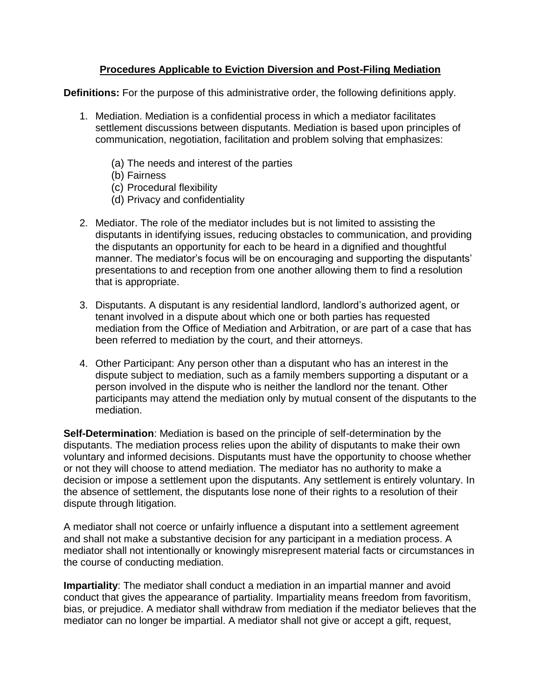## **Procedures Applicable to Eviction Diversion and Post-Filing Mediation**

**Definitions:** For the purpose of this administrative order, the following definitions apply.

- 1. Mediation. Mediation is a confidential process in which a mediator facilitates settlement discussions between disputants. Mediation is based upon principles of communication, negotiation, facilitation and problem solving that emphasizes:
	- (a) The needs and interest of the parties
	- (b) Fairness
	- (c) Procedural flexibility
	- (d) Privacy and confidentiality
- 2. Mediator. The role of the mediator includes but is not limited to assisting the disputants in identifying issues, reducing obstacles to communication, and providing the disputants an opportunity for each to be heard in a dignified and thoughtful manner. The mediator's focus will be on encouraging and supporting the disputants' presentations to and reception from one another allowing them to find a resolution that is appropriate.
- 3. Disputants. A disputant is any residential landlord, landlord's authorized agent, or tenant involved in a dispute about which one or both parties has requested mediation from the Office of Mediation and Arbitration, or are part of a case that has been referred to mediation by the court, and their attorneys.
- 4. Other Participant: Any person other than a disputant who has an interest in the dispute subject to mediation, such as a family members supporting a disputant or a person involved in the dispute who is neither the landlord nor the tenant. Other participants may attend the mediation only by mutual consent of the disputants to the mediation.

**Self-Determination**: Mediation is based on the principle of self-determination by the disputants. The mediation process relies upon the ability of disputants to make their own voluntary and informed decisions. Disputants must have the opportunity to choose whether or not they will choose to attend mediation. The mediator has no authority to make a decision or impose a settlement upon the disputants. Any settlement is entirely voluntary. In the absence of settlement, the disputants lose none of their rights to a resolution of their dispute through litigation.

A mediator shall not coerce or unfairly influence a disputant into a settlement agreement and shall not make a substantive decision for any participant in a mediation process. A mediator shall not intentionally or knowingly misrepresent material facts or circumstances in the course of conducting mediation.

**Impartiality**: The mediator shall conduct a mediation in an impartial manner and avoid conduct that gives the appearance of partiality. Impartiality means freedom from favoritism, bias, or prejudice. A mediator shall withdraw from mediation if the mediator believes that the mediator can no longer be impartial. A mediator shall not give or accept a gift, request,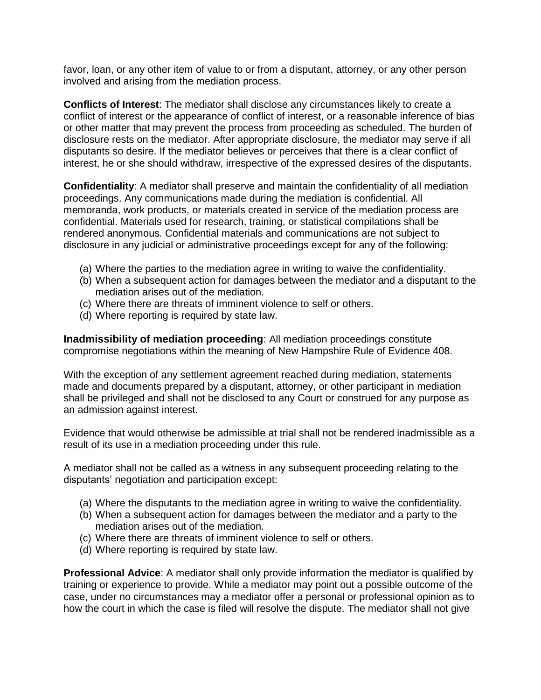favor, loan, or any other item of value to or from a disputant, attorney, or any other person involved and arising from the mediation process.

**Conflicts of Interest**: The mediator shall disclose any circumstances likely to create a conflict of interest or the appearance of conflict of interest, or a reasonable inference of bias or other matter that may prevent the process from proceeding as scheduled. The burden of disclosure rests on the mediator. After appropriate disclosure, the mediator may serve if all disputants so desire. If the mediator believes or perceives that there is a clear conflict of interest, he or she should withdraw, irrespective of the expressed desires of the disputants.

**Confidentiality**: A mediator shall preserve and maintain the confidentiality of all mediation proceedings. Any communications made during the mediation is confidential. All memoranda, work products, or materials created in service of the mediation process are confidential. Materials used for research, training, or statistical compilations shall be rendered anonymous. Confidential materials and communications are not subject to disclosure in any judicial or administrative proceedings except for any of the following:

- (a) Where the parties to the mediation agree in writing to waive the confidentiality.
- (b) When a subsequent action for damages between the mediator and a disputant to the mediation arises out of the mediation.
- (c) Where there are threats of imminent violence to self or others.
- (d) Where reporting is required by state law.

**Inadmissibility of mediation proceeding**: All mediation proceedings constitute compromise negotiations within the meaning of New Hampshire Rule of Evidence 408.

With the exception of any settlement agreement reached during mediation, statements made and documents prepared by a disputant, attorney, or other participant in mediation shall be privileged and shall not be disclosed to any Court or construed for any purpose as an admission against interest.

Evidence that would otherwise be admissible at trial shall not be rendered inadmissible as a result of its use in a mediation proceeding under this rule.

A mediator shall not be called as a witness in any subsequent proceeding relating to the disputants' negotiation and participation except:

- (a) Where the disputants to the mediation agree in writing to waive the confidentiality.
- (b) When a subsequent action for damages between the mediator and a party to the mediation arises out of the mediation.
- (c) Where there are threats of imminent violence to self or others.
- (d) Where reporting is required by state law.

**Professional Advice**: A mediator shall only provide information the mediator is qualified by training or experience to provide. While a mediator may point out a possible outcome of the case, under no circumstances may a mediator offer a personal or professional opinion as to how the court in which the case is filed will resolve the dispute. The mediator shall not give